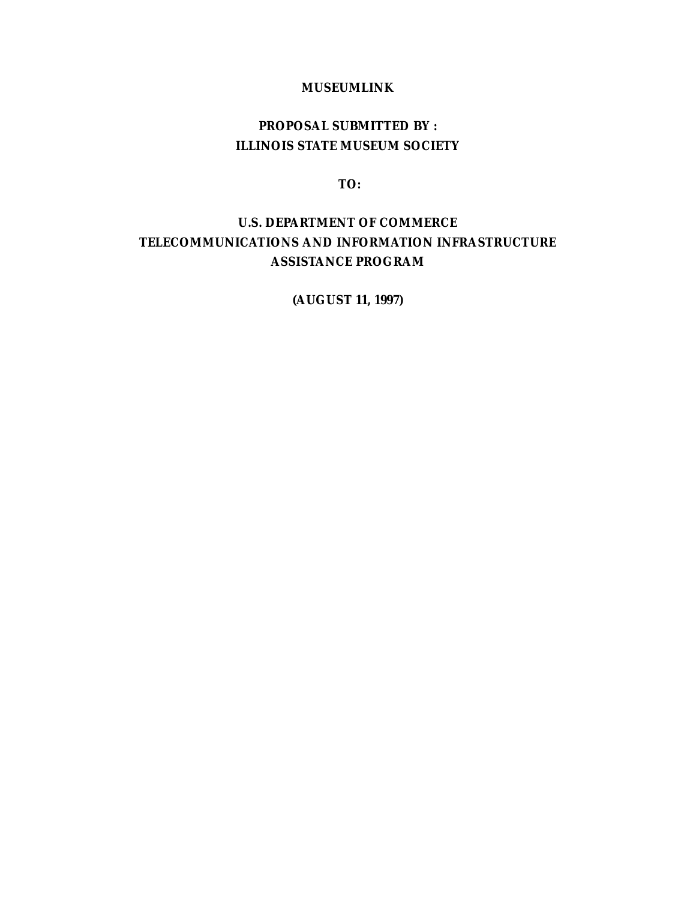## **MUSEUMLINK**

# **PROPOSAL SUBMITTED BY : ILLINOIS STATE MUSEUM SOCIETY**

**TO:**

## **U.S. DEPARTMENT OF COMMERCE TELECOMMUNICATIONS AND INFORMATION INFRASTRUCTURE ASSISTANCE PROGRAM**

**(AUGUST 11, 1997)**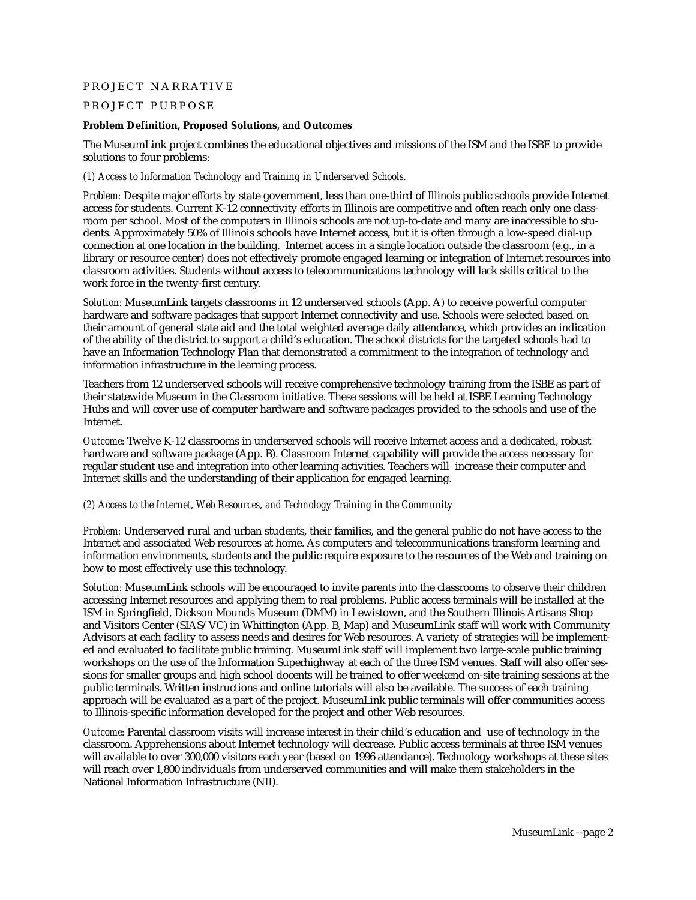## PROJECT NARRATIVE

## PROJECT PURPOSE

#### **Problem Definition, Proposed Solutions, and Outcomes**

The MuseumLink project combines the educational objectives and missions of the ISM and the ISBE to provide solutions to four problems:

## *(1) Access to Information Technology and Training in Underserved Schools.*

*Problem:* Despite major efforts by state government, less than one-third of Illinois public schools provide Internet access for students. Current K-12 connectivity efforts in Illinois are competitive and often reach only one classroom per school. Most of the computers in Illinois schools are not up-to-date and many are inaccessible to students. Approximately 50% of Illinois schools have Internet access, but it is often through a low-speed dial-up connection at one location in the building. Internet access in a single location outside the classroom (e.g., in a library or resource center) does not effectively promote engaged learning or integration of Internet resources into classroom activities. Students without access to telecommunications technology will lack skills critical to the work force in the twenty-first century.

*Solution:* MuseumLink targets classrooms in 12 underserved schools (App. A) to receive powerful computer hardware and software packages that support Internet connectivity and use. Schools were selected based on their amount of general state aid and the total weighted average daily attendance, which provides an indication of the ability of the district to support a child's education. The school districts for the targeted schools had to have an Information Technology Plan that demonstrated a commitment to the integration of technology and information infrastructure in the learning process.

Teachers from 12 underserved schools will receive comprehensive technology training from the ISBE as part of their statewide Museum in the Classroom initiative. These sessions will be held at ISBE Learning Technology Hubs and will cover use of computer hardware and software packages provided to the schools and use of the Internet.

*Outcome:* Twelve K-12 classrooms in underserved schools will receive Internet access and a dedicated, robust hardware and software package (App. B). Classroom Internet capability will provide the access necessary for regular student use and integration into other learning activities. Teachers will increase their computer and Internet skills and the understanding of their application for engaged learning.

## *(2) Access to the Internet, Web Resources, and Technology Training in the Community*

*Problem:* Underserved rural and urban students, their families, and the general public do not have access to the Internet and associated Web resources at home. As computers and telecommunications transform learning and information environments, students and the public require exposure to the resources of the Web and training on how to most effectively use this technology.

*Solution:* MuseumLink schools will be encouraged to invite parents into the classrooms to observe their children accessing Internet resources and applying them to real problems. Public access terminals will be installed at the ISM in Springfield, Dickson Mounds Museum (DMM) in Lewistown, and the Southern Illinois Artisans Shop and Visitors Center (SIAS/VC) in Whittington (App. B, Map) and MuseumLink staff will work with Community Advisors at each facility to assess needs and desires for Web resources. A variety of strategies will be implemented and evaluated to facilitate public training. MuseumLink staff will implement two large-scale public training workshops on the use of the Information Superhighway at each of the three ISM venues. Staff will also offer sessions for smaller groups and high school docents will be trained to offer weekend on-site training sessions at the public terminals. Written instructions and online tutorials will also be available. The success of each training approach will be evaluated as a part of the project. MuseumLink public terminals will offer communities access to Illinois-specific information developed for the project and other Web resources.

*Outcome:* Parental classroom visits will increase interest in their child's education and use of technology in the classroom. Apprehensions about Internet technology will decrease. Public access terminals at three ISM venues will available to over 300,000 visitors each year (based on 1996 attendance). Technology workshops at these sites will reach over 1,800 individuals from underserved communities and will make them stakeholders in the National Information Infrastructure (NII).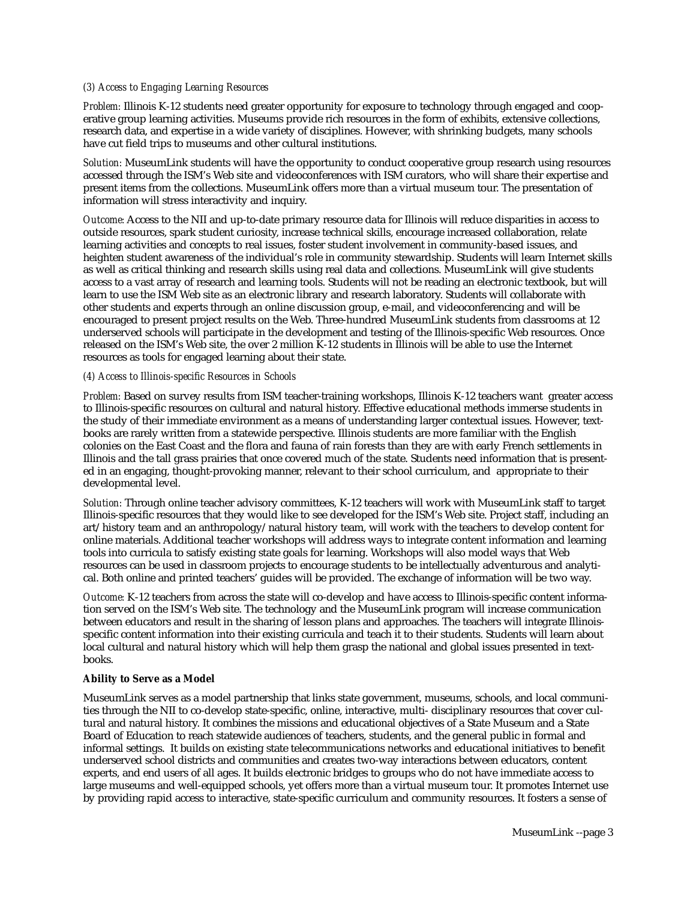#### *(3) Access to Engaging Learning Resources*

*Problem:* Illinois K-12 students need greater opportunity for exposure to technology through engaged and cooperative group learning activities. Museums provide rich resources in the form of exhibits, extensive collections, research data, and expertise in a wide variety of disciplines. However, with shrinking budgets, many schools have cut field trips to museums and other cultural institutions.

*Solution:* MuseumLink students will have the opportunity to conduct cooperative group research using resources accessed through the ISM's Web site and videoconferences with ISM curators, who will share their expertise and present items from the collections. MuseumLink offers more than a virtual museum tour. The presentation of information will stress interactivity and inquiry.

*Outcome:* Access to the NII and up-to-date primary resource data for Illinois will reduce disparities in access to outside resources, spark student curiosity, increase technical skills, encourage increased collaboration, relate learning activities and concepts to real issues, foster student involvement in community-based issues, and heighten student awareness of the individual's role in community stewardship. Students will learn Internet skills as well as critical thinking and research skills using real data and collections. MuseumLink will give students access to a vast array of research and learning tools. Students will not be reading an electronic textbook, but will learn to use the ISM Web site as an electronic library and research laboratory. Students will collaborate with other students and experts through an online discussion group, e-mail, and videoconferencing and will be encouraged to present project results on the Web. Three-hundred MuseumLink students from classrooms at 12 underserved schools will participate in the development and testing of the Illinois-specific Web resources. Once released on the ISM's Web site, the over 2 million K-12 students in Illinois will be able to use the Internet resources as tools for engaged learning about their state.

#### *(4) Access to Illinois-specific Resources in Schools*

*Problem:* Based on survey results from ISM teacher-training workshops, Illinois K-12 teachers want greater access to Illinois-specific resources on cultural and natural history. Effective educational methods immerse students in the study of their immediate environment as a means of understanding larger contextual issues. However, textbooks are rarely written from a statewide perspective. Illinois students are more familiar with the English colonies on the East Coast and the flora and fauna of rain forests than they are with early French settlements in Illinois and the tall grass prairies that once covered much of the state. Students need information that is presented in an engaging, thought-provoking manner, relevant to their school curriculum, and appropriate to their developmental level.

*Solution:* Through online teacher advisory committees, K-12 teachers will work with MuseumLink staff to target Illinois-specific resources that they would like to see developed for the ISM's Web site. Project staff, including an art/history team and an anthropology/natural history team, will work with the teachers to develop content for online materials. Additional teacher workshops will address ways to integrate content information and learning tools into curricula to satisfy existing state goals for learning. Workshops will also model ways that Web resources can be used in classroom projects to encourage students to be intellectually adventurous and analytical. Both online and printed teachers' guides will be provided. The exchange of information will be two way.

*Outcome:* K-12 teachers from across the state will co-develop and have access to Illinois-specific content information served on the ISM's Web site. The technology and the MuseumLink program will increase communication between educators and result in the sharing of lesson plans and approaches. The teachers will integrate Illinoisspecific content information into their existing curricula and teach it to their students. Students will learn about local cultural and natural history which will help them grasp the national and global issues presented in textbooks.

#### **Ability to Serve as a Model**

MuseumLink serves as a model partnership that links state government, museums, schools, and local communities through the NII to co-develop state-specific, online, interactive, multi- disciplinary resources that cover cultural and natural history. It combines the missions and educational objectives of a State Museum and a State Board of Education to reach statewide audiences of teachers, students, and the general public in formal and informal settings. It builds on existing state telecommunications networks and educational initiatives to benefit underserved school districts and communities and creates two-way interactions between educators, content experts, and end users of all ages. It builds electronic bridges to groups who do not have immediate access to large museums and well-equipped schools, yet offers more than a virtual museum tour. It promotes Internet use by providing rapid access to interactive, state-specific curriculum and community resources. It fosters a sense of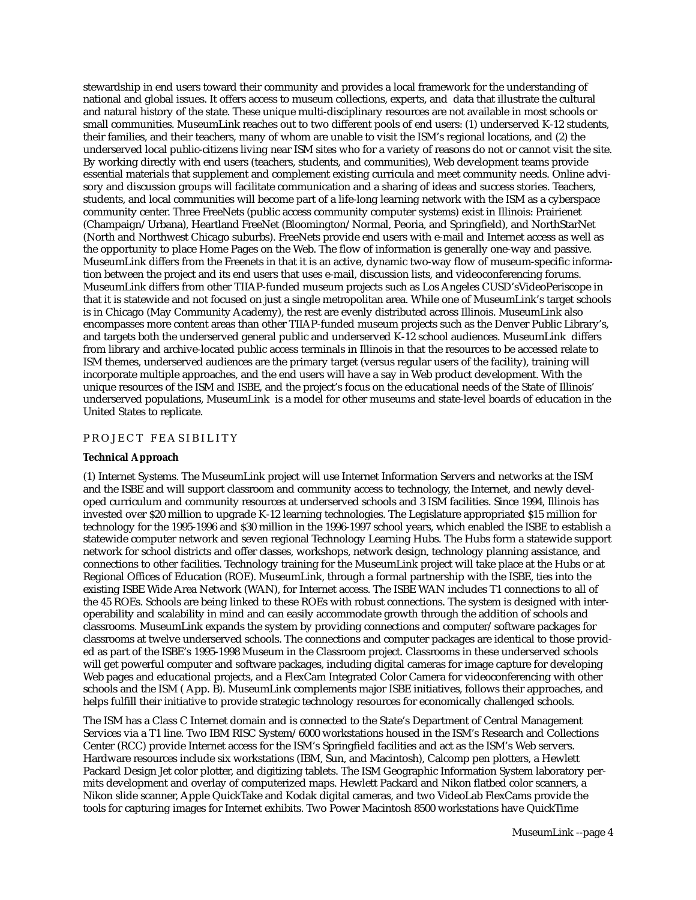stewardship in end users toward their community and provides a local framework for the understanding of national and global issues. It offers access to museum collections, experts, and data that illustrate the cultural and natural history of the state. These unique multi-disciplinary resources are not available in most schools or small communities. MuseumLink reaches out to two different pools of end users: (1) underserved K-12 students, their families, and their teachers, many of whom are unable to visit the ISM's regional locations, and (2) the underserved local public-citizens living near ISM sites who for a variety of reasons do not or cannot visit the site. By working directly with end users (teachers, students, and communities), Web development teams provide essential materials that supplement and complement existing curricula and meet community needs. Online advisory and discussion groups will facilitate communication and a sharing of ideas and success stories. Teachers, students, and local communities will become part of a life-long learning network with the ISM as a cyberspace community center. Three FreeNets (public access community computer systems) exist in Illinois: Prairienet (Champaign/Urbana), Heartland FreeNet (Bloomington/Normal, Peoria, and Springfield), and NorthStarNet (North and Northwest Chicago suburbs). FreeNets provide end users with e-mail and Internet access as well as the opportunity to place Home Pages on the Web. The flow of information is generally one-way and passive. MuseumLink differs from the Freenets in that it is an active, dynamic two-way flow of museum-specific information between the project and its end users that uses e-mail, discussion lists, and videoconferencing forums. MuseumLink differs from other TIIAP-funded museum projects such as Los Angeles CUSD'sVideoPeriscope in that it is statewide and not focused on just a single metropolitan area. While one of MuseumLink's target schools is in Chicago (May Community Academy), the rest are evenly distributed across Illinois. MuseumLink also encompasses more content areas than other TIIAP-funded museum projects such as the Denver Public Library's, and targets both the underserved general public and underserved K-12 school audiences. MuseumLink differs from library and archive-located public access terminals in Illinois in that the resources to be accessed relate to ISM themes, underserved audiences are the primary target (versus regular users of the facility), training will incorporate multiple approaches, and the end users will have a say in Web product development. With the unique resources of the ISM and ISBE, and the project's focus on the educational needs of the State of Illinois' underserved populations, MuseumLink is a model for other museums and state-level boards of education in the United States to replicate.

#### PROJECT FEASIBILITY

#### **Technical Approach**

(1) Internet Systems. The MuseumLink project will use Internet Information Servers and networks at the ISM and the ISBE and will support classroom and community access to technology, the Internet, and newly developed curriculum and community resources at underserved schools and 3 ISM facilities. Since 1994, Illinois has invested over \$20 million to upgrade K-12 learning technologies. The Legislature appropriated \$15 million for technology for the 1995-1996 and \$30 million in the 1996-1997 school years, which enabled the ISBE to establish a statewide computer network and seven regional Technology Learning Hubs. The Hubs form a statewide support network for school districts and offer classes, workshops, network design, technology planning assistance, and connections to other facilities. Technology training for the MuseumLink project will take place at the Hubs or at Regional Offices of Education (ROE). MuseumLink, through a formal partnership with the ISBE, ties into the existing ISBE Wide Area Network (WAN), for Internet access. The ISBE WAN includes T1 connections to all of the 45 ROEs. Schools are being linked to these ROEs with robust connections. The system is designed with interoperability and scalability in mind and can easily accommodate growth through the addition of schools and classrooms. MuseumLink expands the system by providing connections and computer/software packages for classrooms at twelve underserved schools. The connections and computer packages are identical to those provided as part of the ISBE's 1995-1998 Museum in the Classroom project. Classrooms in these underserved schools will get powerful computer and software packages, including digital cameras for image capture for developing Web pages and educational projects, and a FlexCam Integrated Color Camera for videoconferencing with other schools and the ISM ( App. B). MuseumLink complements major ISBE initiatives, follows their approaches, and helps fulfill their initiative to provide strategic technology resources for economically challenged schools.

The ISM has a Class C Internet domain and is connected to the State's Department of Central Management Services via a T1 line. Two IBM RISC System/6000 workstations housed in the ISM's Research and Collections Center (RCC) provide Internet access for the ISM's Springfield facilities and act as the ISM's Web servers. Hardware resources include six workstations (IBM, Sun, and Macintosh), Calcomp pen plotters, a Hewlett Packard Design Jet color plotter, and digitizing tablets. The ISM Geographic Information System laboratory permits development and overlay of computerized maps. Hewlett Packard and Nikon flatbed color scanners, a Nikon slide scanner, Apple QuickTake and Kodak digital cameras, and two VideoLab FlexCams provide the tools for capturing images for Internet exhibits. Two Power Macintosh 8500 workstations have QuickTime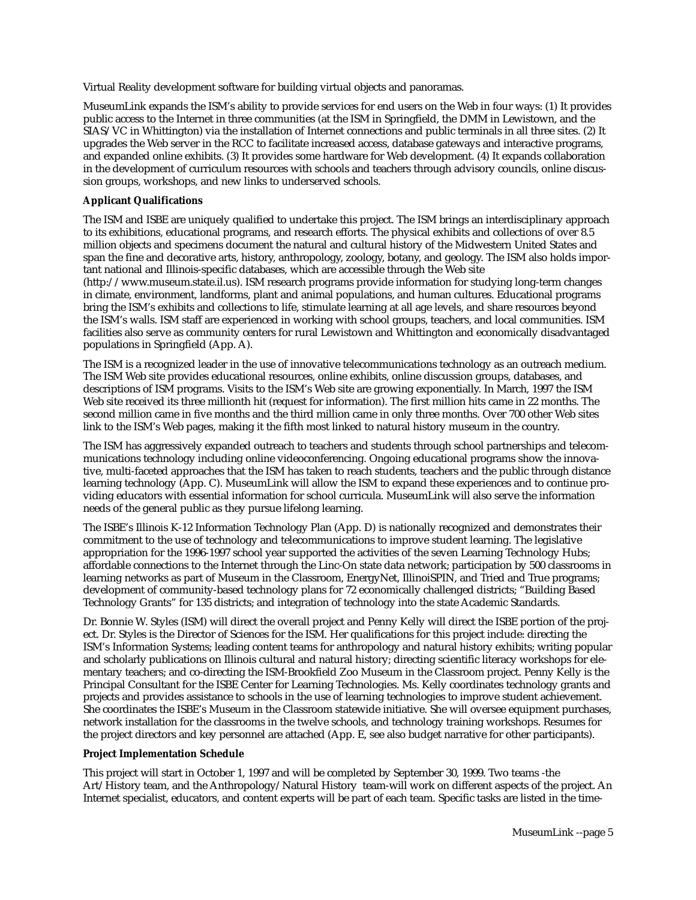Virtual Reality development software for building virtual objects and panoramas.

MuseumLink expands the ISM's ability to provide services for end users on the Web in four ways: (1) It provides public access to the Internet in three communities (at the ISM in Springfield, the DMM in Lewistown, and the SIAS/VC in Whittington) via the installation of Internet connections and public terminals in all three sites. (2) It upgrades the Web server in the RCC to facilitate increased access, database gateways and interactive programs, and expanded online exhibits. (3) It provides some hardware for Web development. (4) It expands collaboration in the development of curriculum resources with schools and teachers through advisory councils, online discussion groups, workshops, and new links to underserved schools.

#### **Applicant Qualifications**

The ISM and ISBE are uniquely qualified to undertake this project. The ISM brings an interdisciplinary approach to its exhibitions, educational programs, and research efforts. The physical exhibits and collections of over 8.5 million objects and specimens document the natural and cultural history of the Midwestern United States and span the fine and decorative arts, history, anthropology, zoology, botany, and geology. The ISM also holds important national and Illinois-specific databases, which are accessible through the Web site

(http://www.museum.state.il.us). ISM research programs provide information for studying long-term changes in climate, environment, landforms, plant and animal populations, and human cultures. Educational programs bring the ISM's exhibits and collections to life, stimulate learning at all age levels, and share resources beyond the ISM's walls. ISM staff are experienced in working with school groups, teachers, and local communities. ISM facilities also serve as community centers for rural Lewistown and Whittington and economically disadvantaged populations in Springfield (App. A).

The ISM is a recognized leader in the use of innovative telecommunications technology as an outreach medium. The ISM Web site provides educational resources, online exhibits, online discussion groups, databases, and descriptions of ISM programs. Visits to the ISM's Web site are growing exponentially. In March, 1997 the ISM Web site received its three millionth hit (request for information). The first million hits came in 22 months. The second million came in five months and the third million came in only three months. Over 700 other Web sites link to the ISM's Web pages, making it the fifth most linked to natural history museum in the country.

The ISM has aggressively expanded outreach to teachers and students through school partnerships and telecommunications technology including online videoconferencing. Ongoing educational programs show the innovative, multi-faceted approaches that the ISM has taken to reach students, teachers and the public through distance learning technology (App. C). MuseumLink will allow the ISM to expand these experiences and to continue providing educators with essential information for school curricula. MuseumLink will also serve the information needs of the general public as they pursue lifelong learning.

The ISBE's Illinois K-12 Information Technology Plan (App. D) is nationally recognized and demonstrates their commitment to the use of technology and telecommunications to improve student learning. The legislative appropriation for the 1996-1997 school year supported the activities of the seven Learning Technology Hubs; affordable connections to the Internet through the Linc-On state data network; participation by 500 classrooms in learning networks as part of Museum in the Classroom, EnergyNet, IllinoiSPIN, and Tried and True programs; development of community-based technology plans for 72 economically challenged districts; "Building Based Technology Grants" for 135 districts; and integration of technology into the state Academic Standards.

Dr. Bonnie W. Styles (ISM) will direct the overall project and Penny Kelly will direct the ISBE portion of the project. Dr. Styles is the Director of Sciences for the ISM. Her qualifications for this project include: directing the ISM's Information Systems; leading content teams for anthropology and natural history exhibits; writing popular and scholarly publications on Illinois cultural and natural history; directing scientific literacy workshops for elementary teachers; and co-directing the ISM-Brookfield Zoo Museum in the Classroom project. Penny Kelly is the Principal Consultant for the ISBE Center for Learning Technologies. Ms. Kelly coordinates technology grants and projects and provides assistance to schools in the use of learning technologies to improve student achievement. She coordinates the ISBE's Museum in the Classroom statewide initiative. She will oversee equipment purchases, network installation for the classrooms in the twelve schools, and technology training workshops. Resumes for the project directors and key personnel are attached (App. E, see also budget narrative for other participants).

#### **Project Implementation Schedule**

This project will start in October 1, 1997 and will be completed by September 30, 1999. Two teams -the Art/History team, and the Anthropology/Natural History team-will work on different aspects of the project. An Internet specialist, educators, and content experts will be part of each team. Specific tasks are listed in the time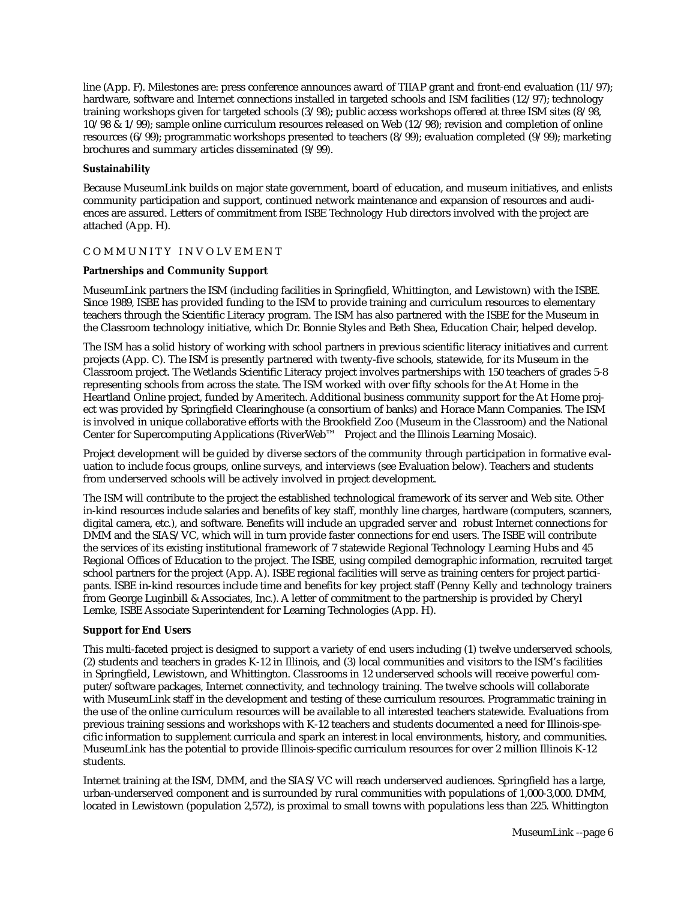line (App. F). Milestones are: press conference announces award of TIIAP grant and front-end evaluation (11/97); hardware, software and Internet connections installed in targeted schools and ISM facilities (12/97); technology training workshops given for targeted schools (3/98); public access workshops offered at three ISM sites (8/98,  $10/98$  &  $1/99$ ); sample online curriculum resources released on Web (12/98); revision and completion of online resources (6/99); programmatic workshops presented to teachers (8/99); evaluation completed (9/99); marketing brochures and summary articles disseminated (9/99).

## **Sustainability**

Because MuseumLink builds on major state government, board of education, and museum initiatives, and enlists community participation and support, continued network maintenance and expansion of resources and audiences are assured. Letters of commitment from ISBE Technology Hub directors involved with the project are attached (App. H).

## COMMUNITY INVOLVEMENT

## **Partnerships and Community Support**

MuseumLink partners the ISM (including facilities in Springfield, Whittington, and Lewistown) with the ISBE. Since 1989, ISBE has provided funding to the ISM to provide training and curriculum resources to elementary teachers through the Scientific Literacy program. The ISM has also partnered with the ISBE for the Museum in the Classroom technology initiative, which Dr. Bonnie Styles and Beth Shea, Education Chair, helped develop.

The ISM has a solid history of working with school partners in previous scientific literacy initiatives and current projects (App. C). The ISM is presently partnered with twenty-five schools, statewide, for its Museum in the Classroom project. The Wetlands Scientific Literacy project involves partnerships with 150 teachers of grades 5-8 representing schools from across the state. The ISM worked with over fifty schools for the At Home in the Heartland Online project, funded by Ameritech. Additional business community support for the At Home project was provided by Springfield Clearinghouse (a consortium of banks) and Horace Mann Companies. The ISM is involved in unique collaborative efforts with the Brookfield Zoo (Museum in the Classroom) and the National Center for Supercomputing Applications (RiverWeb™ Project and the Illinois Learning Mosaic).

Project development will be guided by diverse sectors of the community through participation in formative evaluation to include focus groups, online surveys, and interviews (see Evaluation below). Teachers and students from underserved schools will be actively involved in project development.

The ISM will contribute to the project the established technological framework of its server and Web site. Other in-kind resources include salaries and benefits of key staff, monthly line charges, hardware (computers, scanners, digital camera, etc.), and software. Benefits will include an upgraded server and robust Internet connections for DMM and the SIAS/VC, which will in turn provide faster connections for end users. The ISBE will contribute the services of its existing institutional framework of 7 statewide Regional Technology Learning Hubs and 45 Regional Offices of Education to the project. The ISBE, using compiled demographic information, recruited target school partners for the project (App. A). ISBE regional facilities will serve as training centers for project participants. ISBE in-kind resources include time and benefits for key project staff (Penny Kelly and technology trainers from George Luginbill & Associates, Inc.). A letter of commitment to the partnership is provided by Cheryl Lemke, ISBE Associate Superintendent for Learning Technologies (App. H).

#### **Support for End Users**

This multi-faceted project is designed to support a variety of end users including (1) twelve underserved schools, (2) students and teachers in grades K-12 in Illinois, and (3) local communities and visitors to the ISM's facilities in Springfield, Lewistown, and Whittington. Classrooms in 12 underserved schools will receive powerful computer/software packages, Internet connectivity, and technology training. The twelve schools will collaborate with MuseumLink staff in the development and testing of these curriculum resources. Programmatic training in the use of the online curriculum resources will be available to all interested teachers statewide. Evaluations from previous training sessions and workshops with K-12 teachers and students documented a need for Illinois-specific information to supplement curricula and spark an interest in local environments, history, and communities. MuseumLink has the potential to provide Illinois-specific curriculum resources for over 2 million Illinois K-12 students.

Internet training at the ISM, DMM, and the SIAS/VC will reach underserved audiences. Springfield has a large, urban-underserved component and is surrounded by rural communities with populations of 1,000-3,000. DMM, located in Lewistown (population 2,572), is proximal to small towns with populations less than 225. Whittington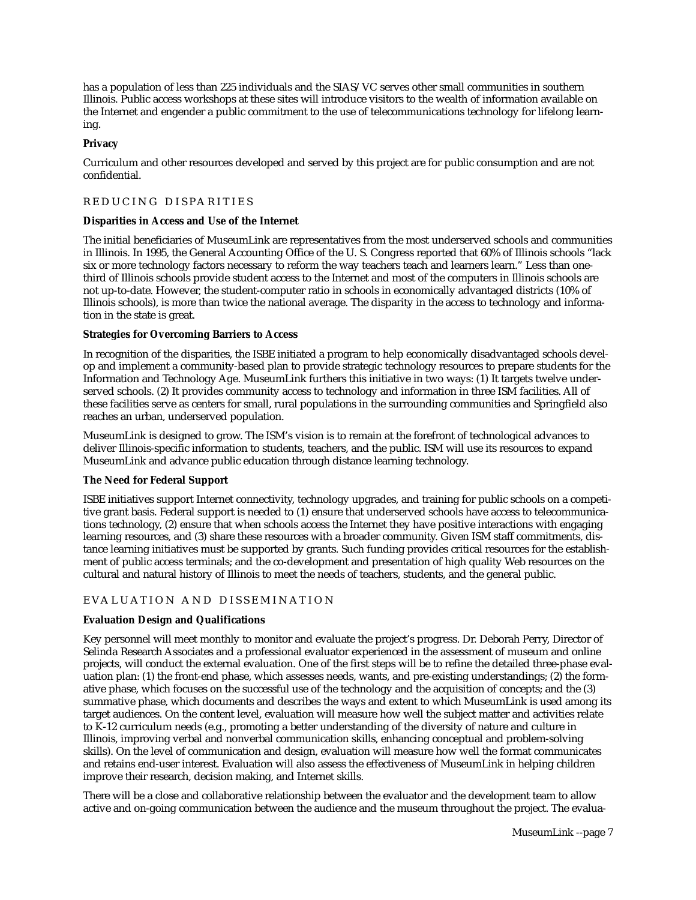has a population of less than 225 individuals and the SIAS/VC serves other small communities in southern Illinois. Public access workshops at these sites will introduce visitors to the wealth of information available on the Internet and engender a public commitment to the use of telecommunications technology for lifelong learning.

## **Privacy**

Curriculum and other resources developed and served by this project are for public consumption and are not confidential.

## REDUCING DISPARITIES

#### **Disparities in Access and Use of the Internet**

The initial beneficiaries of MuseumLink are representatives from the most underserved schools and communities in Illinois. In 1995, the General Accounting Office of the U. S. Congress reported that 60% of Illinois schools "lack six or more technology factors necessary to reform the way teachers teach and learners learn." Less than onethird of Illinois schools provide student access to the Internet and most of the computers in Illinois schools are not up-to-date. However, the student-computer ratio in schools in economically advantaged districts (10% of Illinois schools), is more than twice the national average. The disparity in the access to technology and information in the state is great.

#### **Strategies for Overcoming Barriers to Access**

In recognition of the disparities, the ISBE initiated a program to help economically disadvantaged schools develop and implement a community-based plan to provide strategic technology resources to prepare students for the Information and Technology Age. MuseumLink furthers this initiative in two ways: (1) It targets twelve underserved schools. (2) It provides community access to technology and information in three ISM facilities. All of these facilities serve as centers for small, rural populations in the surrounding communities and Springfield also reaches an urban, underserved population.

MuseumLink is designed to grow. The ISM's vision is to remain at the forefront of technological advances to deliver Illinois-specific information to students, teachers, and the public. ISM will use its resources to expand MuseumLink and advance public education through distance learning technology.

## **The Need for Federal Support**

ISBE initiatives support Internet connectivity, technology upgrades, and training for public schools on a competitive grant basis. Federal support is needed to (1) ensure that underserved schools have access to telecommunications technology, (2) ensure that when schools access the Internet they have positive interactions with engaging learning resources, and (3) share these resources with a broader community. Given ISM staff commitments, distance learning initiatives must be supported by grants. Such funding provides critical resources for the establishment of public access terminals; and the co-development and presentation of high quality Web resources on the cultural and natural history of Illinois to meet the needs of teachers, students, and the general public.

## EVALUATION AND DISSEMINATION

## **Evaluation Design and Qualifications**

Key personnel will meet monthly to monitor and evaluate the project's progress. Dr. Deborah Perry, Director of Selinda Research Associates and a professional evaluator experienced in the assessment of museum and online projects, will conduct the external evaluation. One of the first steps will be to refine the detailed three-phase evaluation plan: (1) the front-end phase, which assesses needs, wants, and pre-existing understandings; (2) the formative phase, which focuses on the successful use of the technology and the acquisition of concepts; and the (3) summative phase, which documents and describes the ways and extent to which MuseumLink is used among its target audiences. On the content level, evaluation will measure how well the subject matter and activities relate to K-12 curriculum needs (e.g., promoting a better understanding of the diversity of nature and culture in Illinois, improving verbal and nonverbal communication skills, enhancing conceptual and problem-solving skills). On the level of communication and design, evaluation will measure how well the format communicates and retains end-user interest. Evaluation will also assess the effectiveness of MuseumLink in helping children improve their research, decision making, and Internet skills.

There will be a close and collaborative relationship between the evaluator and the development team to allow active and on-going communication between the audience and the museum throughout the project. The evalua